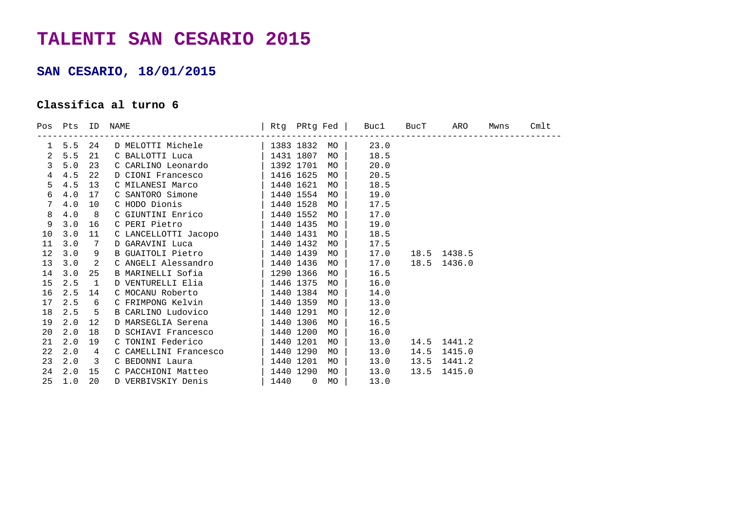## **TALENTI SAN CESARIO 2015**

## **SAN CESARIO, 18/01/2015**

## **Classifica al turno 6**

|                |              |                         | Pos Pts ID NAME                                                                          |  |      | Rtg PRtg Fed   Buc1 BucT ARO |      |             | Mwns | Cmlt |
|----------------|--------------|-------------------------|------------------------------------------------------------------------------------------|--|------|------------------------------|------|-------------|------|------|
|                |              |                         | 1 5.5 24 D MELOTTI Michele   1383 1832 MO   23.0                                         |  |      |                              |      |             |      |      |
| $\overline{2}$ | 5.5          | 21                      | C BALLOTTI Luca $\begin{array}{ c c c c c }\n\hline\n1431 & 1807 \\ \hline\n\end{array}$ |  | MO l | 18.5                         |      |             |      |      |
| $\mathbf{3}$   | 5.0          | 23                      | C CARLINO Leonardo   1392 1701                                                           |  | MO   | 20.0                         |      |             |      |      |
| $\overline{4}$ | 4.5          | 22                      | D CIONI Francesco   1416 1625                                                            |  | MO   | 20.5                         |      |             |      |      |
| 5              | 4.5          | 13                      | C MILANESI Marco   1440 1621                                                             |  | MO   | 18.5                         |      |             |      |      |
| 6              | 4.0          | 17                      | C SANTORO Simone   1440 1554                                                             |  | MO   | 19.0                         |      |             |      |      |
| $7\phantom{.}$ | 4.0          | 10                      | C HODO Dionis (1440 1528)                                                                |  | MO   | 17.5                         |      |             |      |      |
| 8              | 4.0          | 8                       | C GIUNTINI Enrico   1440 1552                                                            |  | MO   | 17.0                         |      |             |      |      |
| 9              | 3.0          | 16                      | C PERI Pietro   1440 1435                                                                |  | MO   | 19.0                         |      |             |      |      |
| 10             | 3.0          | 11                      | C LANCELLOTTI Jacopo   1440 1431                                                         |  | MO   | 18.5                         |      |             |      |      |
| 11             | 3.0          | $\overline{7}$          | D GARAVINI Luca $\vert$ 1440 1432                                                        |  | MO   | 17.5                         |      |             |      |      |
| 12             | 3.0          | 9                       | B GUAITOLI Pietro   1440 1439                                                            |  | MO   | 17.0                         |      | 18.5 1438.5 |      |      |
| 13             | 3.0          | 2                       | C ANGELI Alessandro   1440 1436                                                          |  | MO   | 17.0                         |      | 18.5 1436.0 |      |      |
| 14             | 3.0          | 25                      | B MARINELLI Sofia   1290 1366                                                            |  | MO   | 16.5                         |      |             |      |      |
| 15             | 2.5          | $\overline{1}$          | D VENTURELLI Elia   1446 1375                                                            |  | MO   | 16.0                         |      |             |      |      |
| 16             | 2.5          | 14                      | C MOCANU Roberto   1440 1384                                                             |  | MO   | 14.0                         |      |             |      |      |
| 17             | 2.5          | 6                       | C FRIMPONG Kelvin   1440 1359                                                            |  | MO   | 13.0                         |      |             |      |      |
| 18             | $2.5\quad 5$ |                         | B CARLINO Ludovico   1440 1291                                                           |  | MO   | 12.0                         |      |             |      |      |
| 19             | 2.0          | 12                      | D MARSEGLIA Serena   1440 1306                                                           |  | MO   | 16.5                         |      |             |      |      |
| 20             | 2.0          | 18                      | D SCHIAVI Francesco   1440 1200                                                          |  | MO   | 16.0                         |      |             |      |      |
| 21             | 2.0          | 19                      | C TONINI Federico   1440 1201                                                            |  | MO   | 13.0                         |      | 14.5 1441.2 |      |      |
| 22             | 2.0          | $\overline{4}$          | C CAMELLINI Francesco   1440 1290                                                        |  | MO   | 13.0                         |      | 14.5 1415.0 |      |      |
| 23             | 2.0          | $\overline{\mathbf{3}}$ | C BEDONNI Laura   1440 1201                                                              |  | MO   | 13.0                         | 13.5 | 1441.2      |      |      |
| 24             | 2.0          | 15                      | C PACCHIONI Matteo   1440 1290                                                           |  | MO   | 13.0                         |      | 13.5 1415.0 |      |      |
| 25             | 1.0          | 20                      | D VERBIVSKIY Denis   1440 0                                                              |  | MO   | 13.0                         |      |             |      |      |